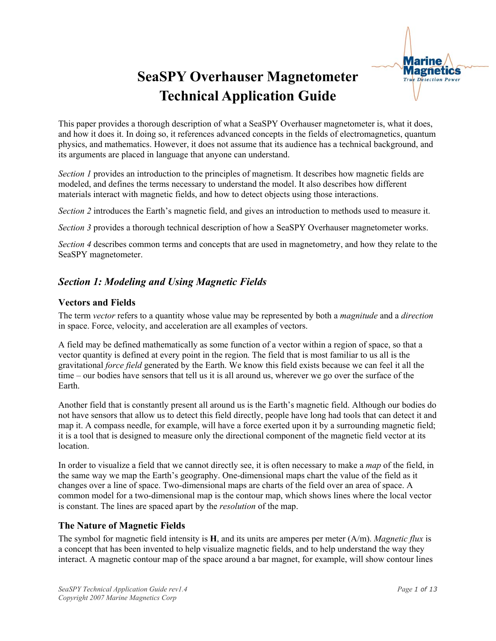

## **SeaSPY Overhauser Magnetometer Technical Application Guide**

This paper provides a thorough description of what a SeaSPY Overhauser magnetometer is, what it does, and how it does it. In doing so, it references advanced concepts in the fields of electromagnetics, quantum physics, and mathematics. However, it does not assume that its audience has a technical background, and its arguments are placed in language that anyone can understand.

*Section 1* provides an introduction to the principles of magnetism. It describes how magnetic fields are modeled, and defines the terms necessary to understand the model. It also describes how different materials interact with magnetic fields, and how to detect objects using those interactions.

*Section 2* introduces the Earth's magnetic field, and gives an introduction to methods used to measure it.

*Section 3* provides a thorough technical description of how a SeaSPY Overhauser magnetometer works.

*Section 4* describes common terms and concepts that are used in magnetometry, and how they relate to the SeaSPY magnetometer.

### *Section 1: Modeling and Using Magnetic Fields*

#### **Vectors and Fields**

The term *vector* refers to a quantity whose value may be represented by both a *magnitude* and a *direction* in space. Force, velocity, and acceleration are all examples of vectors.

A field may be defined mathematically as some function of a vector within a region of space, so that a vector quantity is defined at every point in the region. The field that is most familiar to us all is the gravitational *force field* generated by the Earth. We know this field exists because we can feel it all the time – our bodies have sensors that tell us it is all around us, wherever we go over the surface of the Earth.

Another field that is constantly present all around us is the Earth's magnetic field. Although our bodies do not have sensors that allow us to detect this field directly, people have long had tools that can detect it and map it. A compass needle, for example, will have a force exerted upon it by a surrounding magnetic field; it is a tool that is designed to measure only the directional component of the magnetic field vector at its location.

In order to visualize a field that we cannot directly see, it is often necessary to make a *map* of the field, in the same way we map the Earth's geography. One-dimensional maps chart the value of the field as it changes over a line of space. Two-dimensional maps are charts of the field over an area of space. A common model for a two-dimensional map is the contour map, which shows lines where the local vector is constant. The lines are spaced apart by the *resolution* of the map.

#### **The Nature of Magnetic Fields**

The symbol for magnetic field intensity is **H**, and its units are amperes per meter (A/m). *Magnetic flux* is a concept that has been invented to help visualize magnetic fields, and to help understand the way they interact. A magnetic contour map of the space around a bar magnet, for example, will show contour lines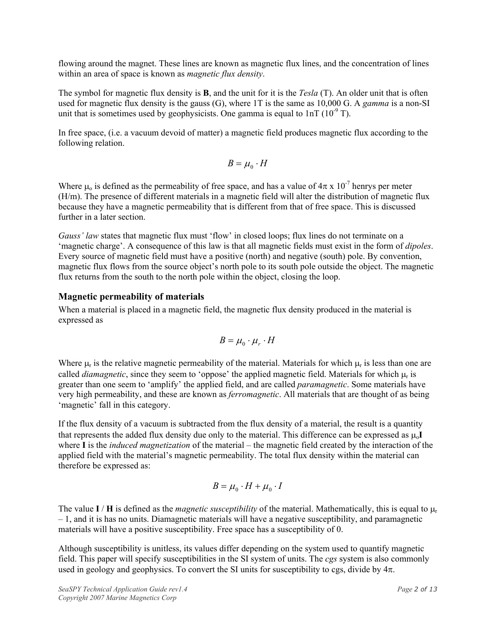flowing around the magnet. These lines are known as magnetic flux lines, and the concentration of lines within an area of space is known as *magnetic flux density*.

The symbol for magnetic flux density is **B**, and the unit for it is the *Tesla* (T). An older unit that is often used for magnetic flux density is the gauss (G), where 1T is the same as 10,000 G. A *gamma* is a non-SI unit that is sometimes used by geophysicists. One gamma is equal to  $1nT (10<sup>-9</sup> T)$ .

In free space, (i.e. a vacuum devoid of matter) a magnetic field produces magnetic flux according to the following relation.

$$
B = \mu_0 \cdot H
$$

Where  $\mu_0$  is defined as the permeability of free space, and has a value of  $4\pi \times 10^{-7}$  henrys per meter (H/m). The presence of different materials in a magnetic field will alter the distribution of magnetic flux because they have a magnetic permeability that is different from that of free space. This is discussed further in a later section.

*Gauss' law* states that magnetic flux must 'flow' in closed loops; flux lines do not terminate on a 'magnetic charge'. A consequence of this law is that all magnetic fields must exist in the form of *dipoles*. Every source of magnetic field must have a positive (north) and negative (south) pole. By convention, magnetic flux flows from the source object's north pole to its south pole outside the object. The magnetic flux returns from the south to the north pole within the object, closing the loop.

#### **Magnetic permeability of materials**

When a material is placed in a magnetic field, the magnetic flux density produced in the material is expressed as

$$
B = \mu_0 \cdot \mu_r \cdot H
$$

Where  $\mu_r$  is the relative magnetic permeability of the material. Materials for which  $\mu_r$  is less than one are called *diamagnetic*, since they seem to 'oppose' the applied magnetic field. Materials for which  $\mu_r$  is greater than one seem to 'amplify' the applied field, and are called *paramagnetic*. Some materials have very high permeability, and these are known as *ferromagnetic*. All materials that are thought of as being 'magnetic' fall in this category.

If the flux density of a vacuum is subtracted from the flux density of a material, the result is a quantity that represents the added flux density due only to the material. This difference can be expressed as  $\mu_0$ **I** where **I** is the *induced magnetization* of the material – the magnetic field created by the interaction of the applied field with the material's magnetic permeability. The total flux density within the material can therefore be expressed as:

$$
B = \mu_0 \cdot H + \mu_0 \cdot I
$$

The value  $I/H$  is defined as the *magnetic susceptibility* of the material. Mathematically, this is equal to  $\mu_r$  $-1$ , and it is has no units. Diamagnetic materials will have a negative susceptibility, and paramagnetic materials will have a positive susceptibility. Free space has a susceptibility of 0.

Although susceptibility is unitless, its values differ depending on the system used to quantify magnetic field. This paper will specify susceptibilities in the SI system of units. The *cgs* system is also commonly used in geology and geophysics. To convert the SI units for susceptibility to cgs, divide by  $4\pi$ .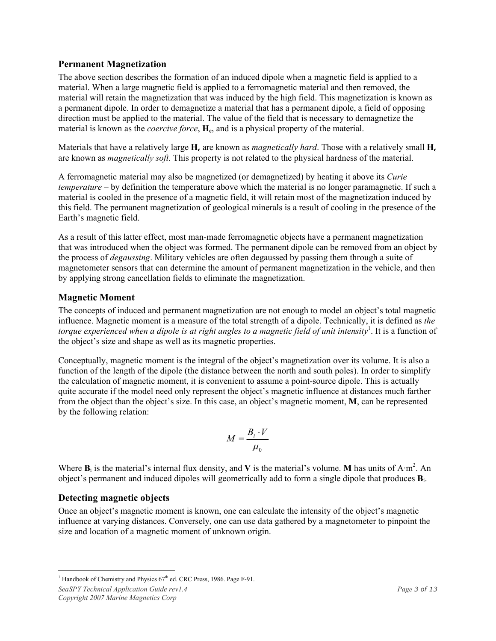#### **Permanent Magnetization**

The above section describes the formation of an induced dipole when a magnetic field is applied to a material. When a large magnetic field is applied to a ferromagnetic material and then removed, the material will retain the magnetization that was induced by the high field. This magnetization is known as a permanent dipole. In order to demagnetize a material that has a permanent dipole, a field of opposing direction must be applied to the material. The value of the field that is necessary to demagnetize the material is known as the *coercive force*, **H<sub>c</sub>**, and is a physical property of the material.

Materials that have a relatively large  $H_c$  are known as *magnetically hard*. Those with a relatively small  $H_c$ are known as *magnetically soft*. This property is not related to the physical hardness of the material.

A ferromagnetic material may also be magnetized (or demagnetized) by heating it above its *Curie temperature* – by definition the temperature above which the material is no longer paramagnetic. If such a material is cooled in the presence of a magnetic field, it will retain most of the magnetization induced by this field. The permanent magnetization of geological minerals is a result of cooling in the presence of the Earth's magnetic field.

As a result of this latter effect, most man-made ferromagnetic objects have a permanent magnetization that was introduced when the object was formed. The permanent dipole can be removed from an object by the process of *degaussing*. Military vehicles are often degaussed by passing them through a suite of magnetometer sensors that can determine the amount of permanent magnetization in the vehicle, and then by applying strong cancellation fields to eliminate the magnetization.

#### **Magnetic Moment**

The concepts of induced and permanent magnetization are not enough to model an object's total magnetic influence. Magnetic moment is a measure of the total strength of a dipole. Technically, it is defined as *the*  torque experienced when a dipole is at right angles to a magnetic field of unit intensity<sup>1</sup>. It is a function of the object's size and shape as well as its magnetic properties.

Conceptually, magnetic moment is the integral of the object's magnetization over its volume. It is also a function of the length of the dipole (the distance between the north and south poles). In order to simplify the calculation of magnetic moment, it is convenient to assume a point-source dipole. This is actually quite accurate if the model need only represent the object's magnetic influence at distances much farther from the object than the object's size. In this case, an object's magnetic moment, **M**, can be represented by the following relation:

$$
M = \frac{B_i \cdot V}{\mu_0}
$$

Where  $\mathbf{B}_i$  is the material's internal flux density, and **V** is the material's volume. **M** has units of  $A \cdot m^2$ . An object's permanent and induced dipoles will geometrically add to form a single dipole that produces **B**i.

#### **Detecting magnetic objects**

Once an object's magnetic moment is known, one can calculate the intensity of the object's magnetic influence at varying distances. Conversely, one can use data gathered by a magnetometer to pinpoint the size and location of a magnetic moment of unknown origin.

<sup>&</sup>lt;sup>1</sup> Handbook of Chemistry and Physics  $67<sup>th</sup>$  ed. CRC Press, 1986. Page F-91.

*SeaSPY Technical Application Guide rev1.4 Page 3 of 13 Page 3 of 13 Copyright 2007 Marine Magnetics Corp*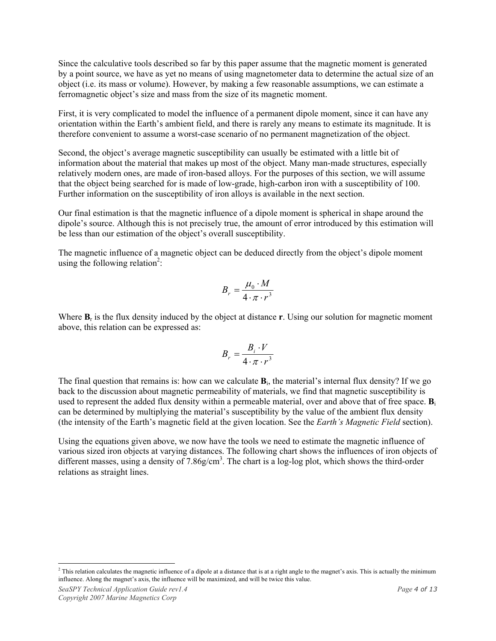Since the calculative tools described so far by this paper assume that the magnetic moment is generated by a point source, we have as yet no means of using magnetometer data to determine the actual size of an object (i.e. its mass or volume). However, by making a few reasonable assumptions, we can estimate a ferromagnetic object's size and mass from the size of its magnetic moment.

First, it is very complicated to model the influence of a permanent dipole moment, since it can have any orientation within the Earth's ambient field, and there is rarely any means to estimate its magnitude. It is therefore convenient to assume a worst-case scenario of no permanent magnetization of the object.

Second, the object's average magnetic susceptibility can usually be estimated with a little bit of information about the material that makes up most of the object. Many man-made structures, especially relatively modern ones, are made of iron-based alloys. For the purposes of this section, we will assume that the object being searched for is made of low-grade, high-carbon iron with a susceptibility of 100. Further information on the susceptibility of iron alloys is available in the next section.

Our final estimation is that the magnetic influence of a dipole moment is spherical in shape around the dipole's source. Although this is not precisely true, the amount of error introduced by this estimation will be less than our estimation of the object's overall susceptibility.

The magnetic influence of a magnetic object can be deduced directly from the object's dipole moment using the following relation<sup>2</sup>:

$$
B_r = \frac{\mu_0 \cdot M}{4 \cdot \pi \cdot r^3}
$$

Where **B**<sub>r</sub> is the flux density induced by the object at distance **r**. Using our solution for magnetic moment above, this relation can be expressed as:

$$
B_r = \frac{B_i \cdot V}{4 \cdot \pi \cdot r^3}
$$

The final question that remains is: how can we calculate **B**i, the material's internal flux density? If we go back to the discussion about magnetic permeability of materials, we find that magnetic susceptibility is used to represent the added flux density within a permeable material, over and above that of free space. **B**<sup>i</sup> can be determined by multiplying the material's susceptibility by the value of the ambient flux density (the intensity of the Earth's magnetic field at the given location. See the *Earth's Magnetic Field* section).

Using the equations given above, we now have the tools we need to estimate the magnetic influence of various sized iron objects at varying distances. The following chart shows the influences of iron objects of different masses, using a density of  $7.86g/cm<sup>3</sup>$ . The chart is a log-log plot, which shows the third-order relations as straight lines.

 $\overline{a}$  $<sup>2</sup>$  This relation calculates the magnetic influence of a dipole at a distance that is at a right angle to the magnet's axis. This is actually the minimum</sup> influence. Along the magnet's axis, the influence will be maximized, and will be twice this value.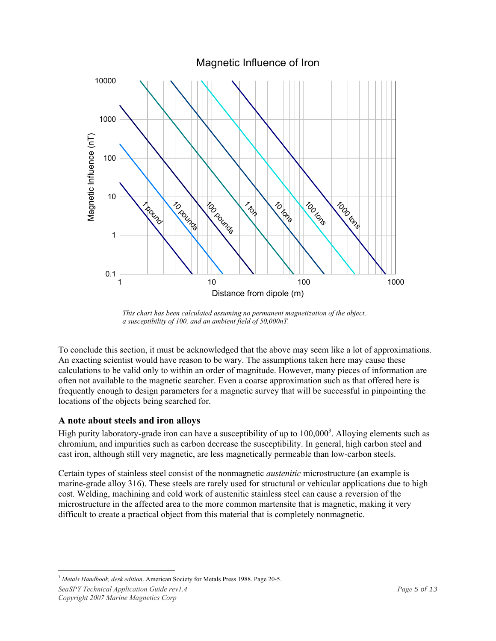

*This chart has been calculated assuming no permanent magnetization of the object, a susceptibility of 100, and an ambient field of 50,000nT.*

To conclude this section, it must be acknowledged that the above may seem like a lot of approximations. An exacting scientist would have reason to be wary. The assumptions taken here may cause these calculations to be valid only to within an order of magnitude. However, many pieces of information are often not available to the magnetic searcher. Even a coarse approximation such as that offered here is frequently enough to design parameters for a magnetic survey that will be successful in pinpointing the locations of the objects being searched for.

#### **A note about steels and iron alloys**

High purity laboratory-grade iron can have a susceptibility of up to  $100,000<sup>3</sup>$ . Alloying elements such as chromium, and impurities such as carbon decrease the susceptibility. In general, high carbon steel and cast iron, although still very magnetic, are less magnetically permeable than low-carbon steels.

Certain types of stainless steel consist of the nonmagnetic *austenitic* microstructure (an example is marine-grade alloy 316). These steels are rarely used for structural or vehicular applications due to high cost. Welding, machining and cold work of austenitic stainless steel can cause a reversion of the microstructure in the affected area to the more common martensite that is magnetic, making it very difficult to create a practical object from this material that is completely nonmagnetic.

 $\overline{a}$ <sup>3</sup> *Metals Handbook, desk edition*. American Society for Metals Press 1988. Page 20-5.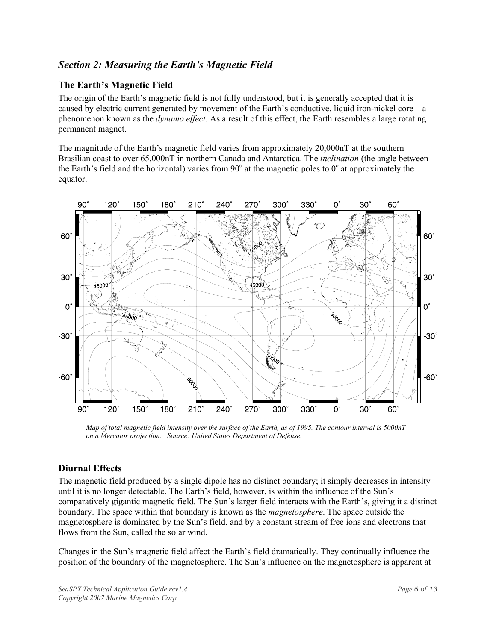#### *Section 2: Measuring the Earth's Magnetic Field*

#### **The Earth's Magnetic Field**

The origin of the Earth's magnetic field is not fully understood, but it is generally accepted that it is caused by electric current generated by movement of the Earth's conductive, liquid iron-nickel core – a phenomenon known as the *dynamo effect*. As a result of this effect, the Earth resembles a large rotating permanent magnet.

The magnitude of the Earth's magnetic field varies from approximately 20,000nT at the southern Brasilian coast to over 65,000nT in northern Canada and Antarctica. The *inclination* (the angle between the Earth's field and the horizontal) varies from  $90^\circ$  at the magnetic poles to  $0^\circ$  at approximately the equator.



*Map of total magnetic field intensity over the surface of the Earth, as of 1995. The contour interval is 5000nT on a Mercator projection. Source: United States Department of Defense.*

#### **Diurnal Effects**

The magnetic field produced by a single dipole has no distinct boundary; it simply decreases in intensity until it is no longer detectable. The Earth's field, however, is within the influence of the Sun's comparatively gigantic magnetic field. The Sun's larger field interacts with the Earth's, giving it a distinct boundary. The space within that boundary is known as the *magnetosphere*. The space outside the magnetosphere is dominated by the Sun's field, and by a constant stream of free ions and electrons that flows from the Sun, called the solar wind.

Changes in the Sun's magnetic field affect the Earth's field dramatically. They continually influence the position of the boundary of the magnetosphere. The Sun's influence on the magnetosphere is apparent at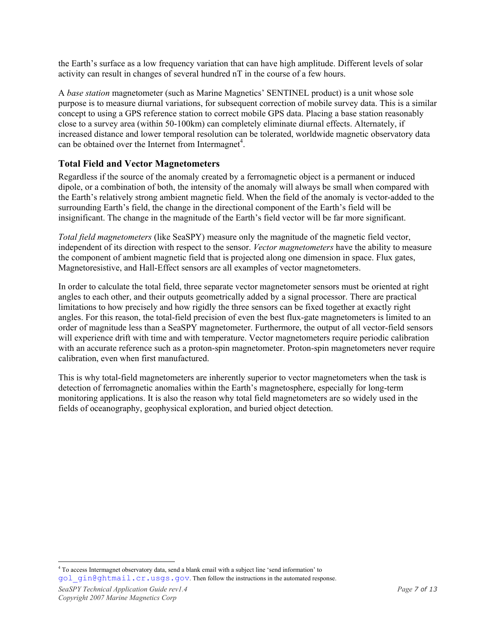the Earth's surface as a low frequency variation that can have high amplitude. Different levels of solar activity can result in changes of several hundred nT in the course of a few hours.

A *base station* magnetometer (such as Marine Magnetics' SENTINEL product) is a unit whose sole purpose is to measure diurnal variations, for subsequent correction of mobile survey data. This is a similar concept to using a GPS reference station to correct mobile GPS data. Placing a base station reasonably close to a survey area (within 50-100km) can completely eliminate diurnal effects. Alternately, if increased distance and lower temporal resolution can be tolerated, worldwide magnetic observatory data can be obtained over the Internet from Intermagnet<sup>4</sup>.

#### **Total Field and Vector Magnetometers**

Regardless if the source of the anomaly created by a ferromagnetic object is a permanent or induced dipole, or a combination of both, the intensity of the anomaly will always be small when compared with the Earth's relatively strong ambient magnetic field. When the field of the anomaly is vector-added to the surrounding Earth's field, the change in the directional component of the Earth's field will be insignificant. The change in the magnitude of the Earth's field vector will be far more significant.

*Total field magnetometers* (like SeaSPY) measure only the magnitude of the magnetic field vector, independent of its direction with respect to the sensor. *Vector magnetometers* have the ability to measure the component of ambient magnetic field that is projected along one dimension in space. Flux gates, Magnetoresistive, and Hall-Effect sensors are all examples of vector magnetometers.

In order to calculate the total field, three separate vector magnetometer sensors must be oriented at right angles to each other, and their outputs geometrically added by a signal processor. There are practical limitations to how precisely and how rigidly the three sensors can be fixed together at exactly right angles. For this reason, the total-field precision of even the best flux-gate magnetometers is limited to an order of magnitude less than a SeaSPY magnetometer. Furthermore, the output of all vector-field sensors will experience drift with time and with temperature. Vector magnetometers require periodic calibration with an accurate reference such as a proton-spin magnetometer. Proton-spin magnetometers never require calibration, even when first manufactured.

This is why total-field magnetometers are inherently superior to vector magnetometers when the task is detection of ferromagnetic anomalies within the Earth's magnetosphere, especially for long-term monitoring applications. It is also the reason why total field magnetometers are so widely used in the fields of oceanography, geophysical exploration, and buried object detection.

 $\overline{a}$ <sup>4</sup> To access Intermagnet observatory data, send a blank email with a subject line 'send information' to gol\_gin@ghtmail.cr.usgs.gov. Then follow the instructions in the automated response.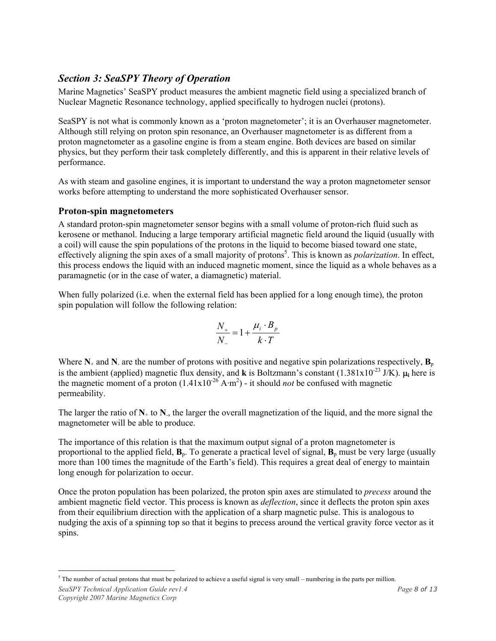#### *Section 3: SeaSPY Theory of Operation*

Marine Magnetics' SeaSPY product measures the ambient magnetic field using a specialized branch of Nuclear Magnetic Resonance technology, applied specifically to hydrogen nuclei (protons).

SeaSPY is not what is commonly known as a 'proton magnetometer'; it is an Overhauser magnetometer. Although still relying on proton spin resonance, an Overhauser magnetometer is as different from a proton magnetometer as a gasoline engine is from a steam engine. Both devices are based on similar physics, but they perform their task completely differently, and this is apparent in their relative levels of performance.

As with steam and gasoline engines, it is important to understand the way a proton magnetometer sensor works before attempting to understand the more sophisticated Overhauser sensor.

#### **Proton-spin magnetometers**

A standard proton-spin magnetometer sensor begins with a small volume of proton-rich fluid such as kerosene or methanol. Inducing a large temporary artificial magnetic field around the liquid (usually with a coil) will cause the spin populations of the protons in the liquid to become biased toward one state, effectively aligning the spin axes of a small majority of protons<sup>5</sup>. This is known as *polarization*. In effect, this process endows the liquid with an induced magnetic moment, since the liquid as a whole behaves as a paramagnetic (or in the case of water, a diamagnetic) material.

When fully polarized (i.e. when the external field has been applied for a long enough time), the proton spin population will follow the following relation:

$$
\frac{N_+}{N_-} = 1 + \frac{\mu_i \cdot B_p}{k \cdot T}
$$

Where  $N_+$  and  $N_-$  are the number of protons with positive and negative spin polarizations respectively,  $B_p$ is the ambient (applied) magnetic flux density, and **k** is Boltzmann's constant (1.381x10-23 J/K). µ**i** here is the magnetic moment of a proton  $(1.41 \times 10^{-26} \text{ A} \cdot \text{m}^2)$  - it should *not* be confused with magnetic permeability.

The larger the ratio of  $N_{+}$  to  $N_{-}$ , the larger the overall magnetization of the liquid, and the more signal the magnetometer will be able to produce.

The importance of this relation is that the maximum output signal of a proton magnetometer is proportional to the applied field,  $\mathbf{B}_p$ . To generate a practical level of signal,  $\mathbf{B}_p$  must be very large (usually more than 100 times the magnitude of the Earth's field). This requires a great deal of energy to maintain long enough for polarization to occur.

Once the proton population has been polarized, the proton spin axes are stimulated to *precess* around the ambient magnetic field vector. This process is known as *deflection*, since it deflects the proton spin axes from their equilibrium direction with the application of a sharp magnetic pulse. This is analogous to nudging the axis of a spinning top so that it begins to precess around the vertical gravity force vector as it spins.

 $\overline{a}$  $5$  The number of actual protons that must be polarized to achieve a useful signal is very small – numbering in the parts per million.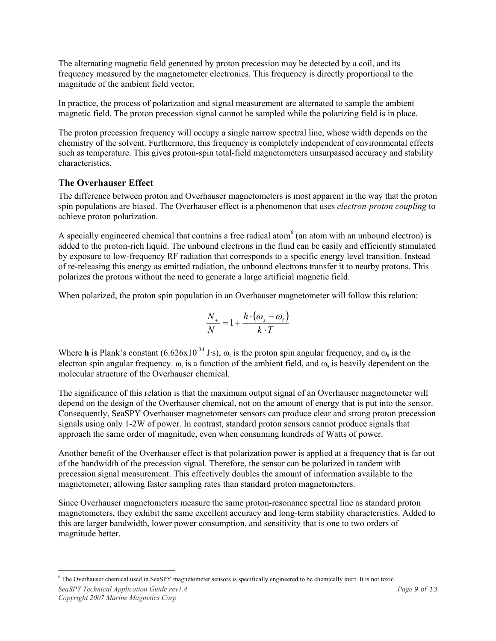The alternating magnetic field generated by proton precession may be detected by a coil, and its frequency measured by the magnetometer electronics. This frequency is directly proportional to the magnitude of the ambient field vector.

In practice, the process of polarization and signal measurement are alternated to sample the ambient magnetic field. The proton precession signal cannot be sampled while the polarizing field is in place.

The proton precession frequency will occupy a single narrow spectral line, whose width depends on the chemistry of the solvent. Furthermore, this frequency is completely independent of environmental effects such as temperature. This gives proton-spin total-field magnetometers unsurpassed accuracy and stability characteristics.

#### **The Overhauser Effect**

The difference between proton and Overhauser magnetometers is most apparent in the way that the proton spin populations are biased. The Overhauser effect is a phenomenon that uses *electron-proton coupling* to achieve proton polarization.

A specially engineered chemical that contains a free radical atom $6$  (an atom with an unbound electron) is added to the proton-rich liquid. The unbound electrons in the fluid can be easily and efficiently stimulated by exposure to low-frequency RF radiation that corresponds to a specific energy level transition. Instead of re-releasing this energy as emitted radiation, the unbound electrons transfer it to nearby protons. This polarizes the protons without the need to generate a large artificial magnetic field.

When polarized, the proton spin population in an Overhauser magnetometer will follow this relation:

$$
\frac{N_+}{N_-} = 1 + \frac{h \cdot (\omega_s - \omega_i)}{k \cdot T}
$$

Where **h** is Plank's constant (6.626x10<sup>-34</sup> J·s),  $\omega_i$  is the proton spin angular frequency, and  $\omega_s$  is the electron spin angular frequency.  $\omega_i$  is a function of the ambient field, and  $\omega_s$  is heavily dependent on the molecular structure of the Overhauser chemical.

The significance of this relation is that the maximum output signal of an Overhauser magnetometer will depend on the design of the Overhauser chemical, not on the amount of energy that is put into the sensor. Consequently, SeaSPY Overhauser magnetometer sensors can produce clear and strong proton precession signals using only 1-2W of power. In contrast, standard proton sensors cannot produce signals that approach the same order of magnitude, even when consuming hundreds of Watts of power.

Another benefit of the Overhauser effect is that polarization power is applied at a frequency that is far out of the bandwidth of the precession signal. Therefore, the sensor can be polarized in tandem with precession signal measurement. This effectively doubles the amount of information available to the magnetometer, allowing faster sampling rates than standard proton magnetometers.

Since Overhauser magnetometers measure the same proton-resonance spectral line as standard proton magnetometers, they exhibit the same excellent accuracy and long-term stability characteristics. Added to this are larger bandwidth, lower power consumption, and sensitivity that is one to two orders of magnitude better.

 $\overline{a}$ 6 The Overhauser chemical used in SeaSPY magnetometer sensors is specifically engineered to be chemically inert. It is not toxic.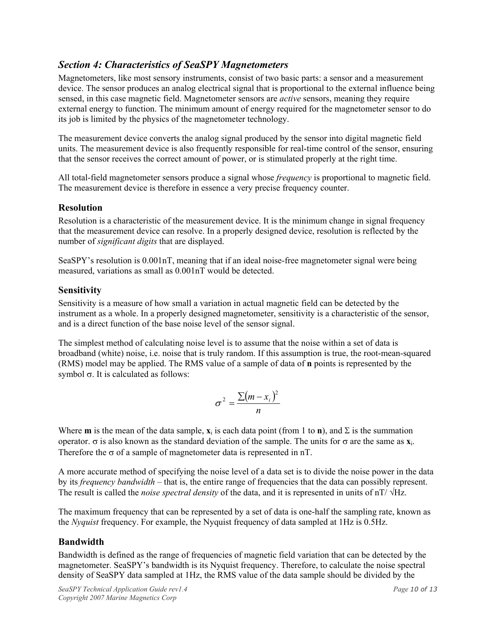#### *Section 4: Characteristics of SeaSPY Magnetometers*

Magnetometers, like most sensory instruments, consist of two basic parts: a sensor and a measurement device. The sensor produces an analog electrical signal that is proportional to the external influence being sensed, in this case magnetic field. Magnetometer sensors are *active* sensors, meaning they require external energy to function. The minimum amount of energy required for the magnetometer sensor to do its job is limited by the physics of the magnetometer technology.

The measurement device converts the analog signal produced by the sensor into digital magnetic field units. The measurement device is also frequently responsible for real-time control of the sensor, ensuring that the sensor receives the correct amount of power, or is stimulated properly at the right time.

All total-field magnetometer sensors produce a signal whose *frequency* is proportional to magnetic field. The measurement device is therefore in essence a very precise frequency counter.

#### **Resolution**

Resolution is a characteristic of the measurement device. It is the minimum change in signal frequency that the measurement device can resolve. In a properly designed device, resolution is reflected by the number of *significant digits* that are displayed.

SeaSPY's resolution is 0.001nT, meaning that if an ideal noise-free magnetometer signal were being measured, variations as small as 0.001nT would be detected.

#### **Sensitivity**

Sensitivity is a measure of how small a variation in actual magnetic field can be detected by the instrument as a whole. In a properly designed magnetometer, sensitivity is a characteristic of the sensor, and is a direct function of the base noise level of the sensor signal.

The simplest method of calculating noise level is to assume that the noise within a set of data is broadband (white) noise, i.e. noise that is truly random. If this assumption is true, the root-mean-squared (RMS) model may be applied. The RMS value of a sample of data of **n** points is represented by the symbol σ. It is calculated as follows:

$$
\sigma^2 = \frac{\sum (m - x_i)^2}{n}
$$

Where **m** is the mean of the data sample,  $\mathbf{x}_i$  is each data point (from 1 to **n**), and  $\Sigma$  is the summation operator. σ is also known as the standard deviation of the sample. The units for σ are the same as **x**i. Therefore the  $\sigma$  of a sample of magnetometer data is represented in nT.

A more accurate method of specifying the noise level of a data set is to divide the noise power in the data by its *frequency bandwidth* – that is, the entire range of frequencies that the data can possibly represent. The result is called the *noise spectral density* of the data, and it is represented in units of nT/ √Hz.

The maximum frequency that can be represented by a set of data is one-half the sampling rate, known as the *Nyquist* frequency. For example, the Nyquist frequency of data sampled at 1Hz is 0.5Hz.

#### **Bandwidth**

Bandwidth is defined as the range of frequencies of magnetic field variation that can be detected by the magnetometer. SeaSPY's bandwidth is its Nyquist frequency. Therefore, to calculate the noise spectral density of SeaSPY data sampled at 1Hz, the RMS value of the data sample should be divided by the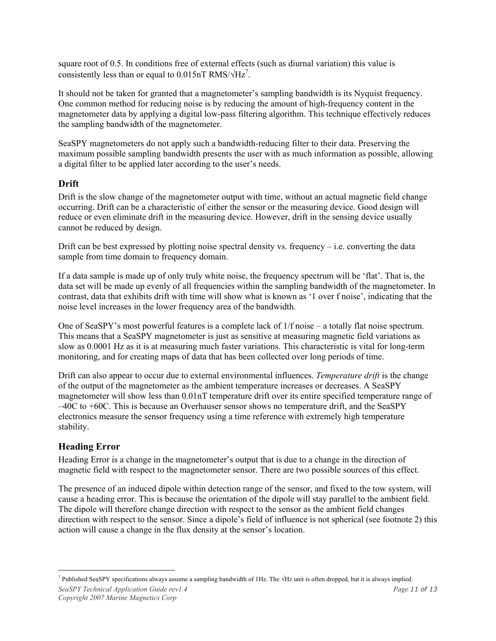square root of 0.5. In conditions free of external effects (such as diurnal variation) this value is consistently less than or equal to  $0.015nT$  RMS/ $\sqrt{Hz}^7$ .

It should not be taken for granted that a magnetometer's sampling bandwidth is its Nyquist frequency. One common method for reducing noise is by reducing the amount of high-frequency content in the magnetometer data by applying a digital low-pass filtering algorithm. This technique effectively reduces the sampling bandwidth of the magnetometer.

SeaSPY magnetometers do not apply such a bandwidth-reducing filter to their data. Preserving the maximum possible sampling bandwidth presents the user with as much information as possible, allowing a digital filter to be applied later according to the user's needs.

#### **Drift**

Drift is the slow change of the magnetometer output with time, without an actual magnetic field change occurring. Drift can be a characteristic of either the sensor or the measuring device. Good design will reduce or even eliminate drift in the measuring device. However, drift in the sensing device usually cannot be reduced by design.

Drift can be best expressed by plotting noise spectral density vs. frequency  $-$  i.e. converting the data sample from time domain to frequency domain.

If a data sample is made up of only truly white noise, the frequency spectrum will be 'flat'. That is, the data set will be made up evenly of all frequencies within the sampling bandwidth of the magnetometer. In contrast, data that exhibits drift with time will show what is known as '1 over f noise', indicating that the noise level increases in the lower frequency area of the bandwidth.

One of SeaSPY's most powerful features is a complete lack of 1/f noise – a totally flat noise spectrum. This means that a SeaSPY magnetometer is just as sensitive at measuring magnetic field variations as slow as 0.0001 Hz as it is at measuring much faster variations. This characteristic is vital for long-term monitoring, and for creating maps of data that has been collected over long periods of time.

Drift can also appear to occur due to external environmental influences. *Temperature drift* is the change of the output of the magnetometer as the ambient temperature increases or decreases. A SeaSPY magnetometer will show less than 0.01nT temperature drift over its entire specified temperature range of –40C to +60C. This is because an Overhauser sensor shows no temperature drift, and the SeaSPY electronics measure the sensor frequency using a time reference with extremely high temperature stability.

#### **Heading Error**

Heading Error is a change in the magnetometer's output that is due to a change in the direction of magnetic field with respect to the magnetometer sensor. There are two possible sources of this effect.

The presence of an induced dipole within detection range of the sensor, and fixed to the tow system, will cause a heading error. This is because the orientation of the dipole will stay parallel to the ambient field. The dipole will therefore change direction with respect to the sensor as the ambient field changes direction with respect to the sensor. Since a dipole's field of influence is not spherical (see footnote 2) this action will cause a change in the flux density at the sensor's location.

 $\overline{a}$  $^7$  Published SeaSPY specifications always assume a sampling bandwidth of 1Hz. The  $\sqrt{Hz}$  unit is often dropped, but it is always implied.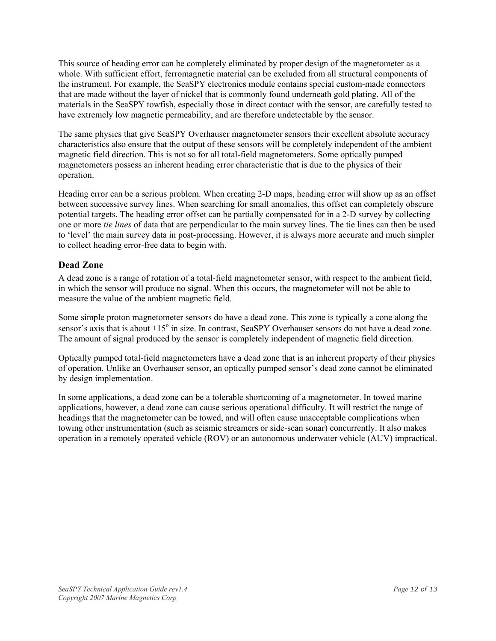This source of heading error can be completely eliminated by proper design of the magnetometer as a whole. With sufficient effort, ferromagnetic material can be excluded from all structural components of the instrument. For example, the SeaSPY electronics module contains special custom-made connectors that are made without the layer of nickel that is commonly found underneath gold plating. All of the materials in the SeaSPY towfish, especially those in direct contact with the sensor, are carefully tested to have extremely low magnetic permeability, and are therefore undetectable by the sensor.

The same physics that give SeaSPY Overhauser magnetometer sensors their excellent absolute accuracy characteristics also ensure that the output of these sensors will be completely independent of the ambient magnetic field direction. This is not so for all total-field magnetometers. Some optically pumped magnetometers possess an inherent heading error characteristic that is due to the physics of their operation.

Heading error can be a serious problem. When creating 2-D maps, heading error will show up as an offset between successive survey lines. When searching for small anomalies, this offset can completely obscure potential targets. The heading error offset can be partially compensated for in a 2-D survey by collecting one or more *tie lines* of data that are perpendicular to the main survey lines. The tie lines can then be used to 'level' the main survey data in post-processing. However, it is always more accurate and much simpler to collect heading error-free data to begin with.

#### **Dead Zone**

A dead zone is a range of rotation of a total-field magnetometer sensor, with respect to the ambient field, in which the sensor will produce no signal. When this occurs, the magnetometer will not be able to measure the value of the ambient magnetic field.

Some simple proton magnetometer sensors do have a dead zone. This zone is typically a cone along the sensor's axis that is about  $\pm 15^{\circ}$  in size. In contrast, SeaSPY Overhauser sensors do not have a dead zone. The amount of signal produced by the sensor is completely independent of magnetic field direction.

Optically pumped total-field magnetometers have a dead zone that is an inherent property of their physics of operation. Unlike an Overhauser sensor, an optically pumped sensor's dead zone cannot be eliminated by design implementation.

In some applications, a dead zone can be a tolerable shortcoming of a magnetometer. In towed marine applications, however, a dead zone can cause serious operational difficulty. It will restrict the range of headings that the magnetometer can be towed, and will often cause unacceptable complications when towing other instrumentation (such as seismic streamers or side-scan sonar) concurrently. It also makes operation in a remotely operated vehicle (ROV) or an autonomous underwater vehicle (AUV) impractical.